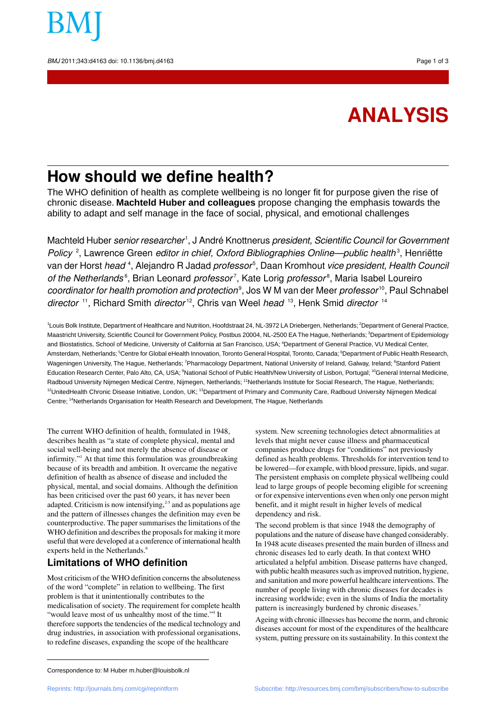

BMJ 2011:343:d4163 doi: 10.1136/bmi.d4163 **Page 1 of 3** Page 1 of 3

# **ANALYSIS**

# **How should we define health?**

The WHO definition of health as complete wellbeing is no longer fit for purpose given the rise of chronic disease. **Machteld Huber and colleagues** propose changing the emphasis towards the ability to adapt and self manage in the face of social, physical, and emotional challenges

Machteld Huber *senior researcher* 1, J André Knottnerus *president, Scientific Council for Governmen*i Policy<sup>2</sup>, Lawrence Green editor in chief, Oxford Bibliographies Online—public health<sup>3</sup>, Henriëtte van der Horst *head* <sup>4</sup>, Alejandro R Jadad *professor*<sup>s</sup>, Daan Kromhout *vice president, Health Counci*i of the Netherlands<sup>6</sup>, Brian Leonard professor<sup>7</sup>, Kate Lorig professor<sup>8</sup>, Maria Isabel Loureiro coordinator for health promotion and protection<sup>9</sup>, Jos W M van der Meer *professor*<sup>10</sup>, Paul Schnabel director <sup>11</sup>, Richard Smith director<sup>12</sup>, Chris van Weel head <sup>13</sup>, Henk Smid director <sup>14</sup>

<sup>1</sup>Louis Bolk Institute, Department of Healthcare and Nutrition, Hoofdstraat 24, NL-3972 LA Driebergen, Netherlands; <sup>2</sup>Department of General Practice, Maastricht University, Scientific Council for Government Policy, Postbus 20004, NL-2500 EA The Haque, Netherlands; <sup>3</sup>Department of Epidemiology and Biostatistics, School of Medicine, University of California at San Francisco, USA; <sup>4</sup>Department of General Practice, VU Medical Center, Amsterdam, Netherlands: <sup>5</sup>Centre for Global eHealth Innovation, Toronto General Hospital, Toronto, Canada; <sup>6</sup>Department of Public Health Research, Wageningen University, The Hague, Netherlands; 7Pharmacology Department, National University of Ireland, Galway, Ireland; <sup>8</sup>Stanford Patient Education Research Center, Palo Alto, CA, USA; <sup>9</sup>National School of Public Health/New University of Lisbon, Portugal; <sup>10</sup>General Internal Medicine, Radboud University Nijmegen Medical Centre, Nijmegen, Netherlands; <sup>11</sup>Netherlands Institute for Social Research, The Hague, Netherlands; <sup>12</sup>UnitedHealth Chronic Disease Initiative, London, UK; <sup>13</sup>Department of Primary and Community Care, Radboud University Nijmegen Medical Centre; <sup>14</sup>Netherlands Organisation for Health Research and Development, The Hague, Netherlands

The current WHO definition of health, formulated in 1948, describes health as "a state of complete physical, mental and social well-being and not merely the absence of disease or infirmity."<sup>1</sup> At that time this formulation was groundbreaking because of its breadth and ambition. It overcame the negative definition of health as absence of disease and included the physical, mental, and social domains. Although the definition has been criticised over the past 60 years, it has never been adapted. Criticism is now intensifying, $25$  and as populations age and the pattern of illnesses changes the definition may even be counterproductive. The paper summarises the limitations of the WHO definition and describes the proposals for making it more useful that were developed at a conference of international health experts held in the Netherlands.<sup>6</sup>

## **Limitations of WHO definition**

Most criticism of the WHO definition concerns the absoluteness of the word "complete" in relation to wellbeing. The first problem is that it unintentionally contributes to the medicalisation of society. The requirement for complete health "would leave most of us unhealthy most of the time."<sup>4</sup> It therefore supports the tendencies of the medical technology and drug industries, in association with professional organisations, to redefine diseases, expanding the scope of the healthcare

system. New screening technologies detect abnormalities at levels that might never cause illness and pharmaceutical companies produce drugs for "conditions" not previously defined as health problems. Thresholds for intervention tend to be lowered—for example, with blood pressure, lipids, and sugar. The persistent emphasis on complete physical wellbeing could lead to large groups of people becoming eligible for screening or for expensive interventions even when only one person might benefit, and it might result in higher levels of medical dependency and risk.

The second problem is that since 1948 the demography of populations and the nature of disease have changed considerably. In 1948 acute diseases presented the main burden of illness and chronic diseases led to early death. In that context WHO articulated a helpful ambition. Disease patterns have changed, with public health measures such as improved nutrition, hygiene, and sanitation and more powerful healthcare interventions. The number of people living with chronic diseases for decades is increasing worldwide; even in the slums of India the mortality pattern is increasingly burdened by chronic diseases.<sup>7</sup>

Ageing with chronic illnesses has become the norm, and chronic diseases account for most of the expenditures of the healthcare system, putting pressure on its sustainability. In this context the

Correspondence to: M Huber m.huber@louisbolk.nl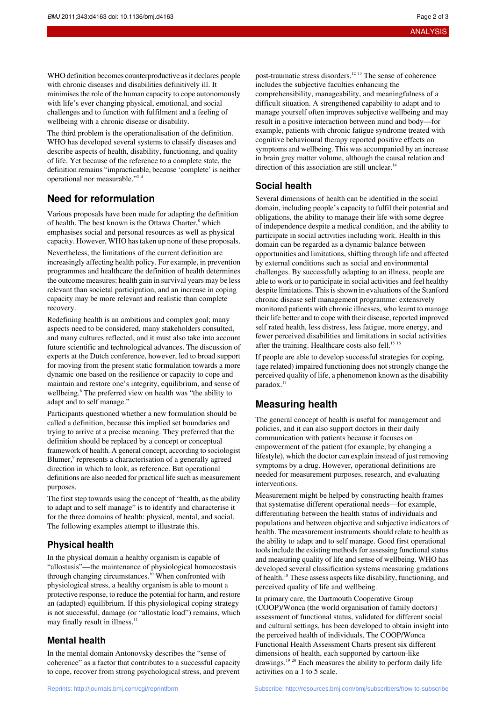WHO definition becomes counterproductive as it declares people with chronic diseases and disabilities definitively ill. It minimises the role of the human capacity to cope autonomously with life's ever changing physical, emotional, and social challenges and to function with fulfilment and a feeling of wellbeing with a chronic disease or disability.

The third problem is the operationalisation of the definition. WHO has developed several systems to classify diseases and describe aspects of health, disability, functioning, and quality of life. Yet because of the reference to a complete state, the definition remains "impracticable, because 'complete' is neither operational nor measurable."<sup>3</sup> <sup>4</sup>

#### **Need for reformulation**

Various proposals have been made for adapting the definition of health. The best known is the Ottawa Charter,<sup>8</sup> which emphasises social and personal resources as well as physical capacity. However, WHO hastaken up none of these proposals.

Nevertheless, the limitations of the current definition are increasingly affecting health policy. For example, in prevention programmes and healthcare the definition of health determines the outcome measures: health gain in survival years may be less relevant than societal participation, and an increase in coping capacity may be more relevant and realistic than complete recovery.

Redefining health is an ambitious and complex goal; many aspects need to be considered, many stakeholders consulted, and many cultures reflected, and it must also take into account future scientific and technological advances. The discussion of experts at the Dutch conference, however, led to broad support for moving from the present static formulation towards a more dynamic one based on the resilience or capacity to cope and maintain and restore one's integrity, equilibrium, and sense of wellbeing.<sup>6</sup> The preferred view on health was "the ability to adapt and to self manage."

Participants questioned whether a new formulation should be called a definition, because this implied set boundaries and trying to arrive at a precise meaning. They preferred that the definition should be replaced by a concept or conceptual framework of health. A general concept, according to sociologist Blumer,<sup>9</sup> represents a characterisation of a generally agreed direction in which to look, as reference. But operational definitions are also needed for practical life such as measurement purposes.

The first step towards using the concept of "health, as the ability to adapt and to self manage" is to identify and characterise it for the three domains of health: physical, mental, and social. The following examples attempt to illustrate this.

#### **Physical health**

In the physical domain a healthy organism is capable of "allostasis"—the maintenance of physiological homoeostasis through changing circumstances.<sup>10</sup> When confronted with physiological stress, a healthy organism is able to mount a protective response, to reduce the potential for harm, and restore an (adapted) equilibrium. If this physiological coping strategy is not successful, damage (or "allostatic load") remains, which may finally result in illness. $<sup>11</sup>$ </sup>

#### **Mental health**

In the mental domain Antonovsky describes the "sense of coherence" as a factor that contributes to a successful capacity to cope, recover from strong psychological stress, and prevent

post-traumatic stress disorders.<sup>12</sup> <sup>13</sup> The sense of coherence includes the subjective faculties enhancing the comprehensibility, manageability, and meaningfulness of a difficult situation. A strengthened capability to adapt and to manage yourself often improves subjective wellbeing and may result in a positive interaction between mind and body—for example, patients with chronic fatigue syndrome treated with cognitive behavioural therapy reported positive effects on symptoms and wellbeing. This was accompanied by an increase in brain grey matter volume, although the causal relation and direction of this association are still unclear.<sup>14</sup>

#### **Social health**

Several dimensions of health can be identified in the social domain, including people's capacity to fulfil their potential and obligations, the ability to manage their life with some degree of independence despite a medical condition, and the ability to participate in social activities including work. Health in this domain can be regarded as a dynamic balance between opportunities and limitations, shifting through life and affected by external conditions such as social and environmental challenges. By successfully adapting to an illness, people are able to work or to participate in social activities and feel healthy despite limitations. This is shown in evaluations of the Stanford chronic disease self management programme: extensively monitored patients with chronic illnesses, who learnt to manage their life better and to cope with their disease, reported improved self rated health, less distress, less fatigue, more energy, and fewer perceived disabilities and limitations in social activities after the training. Healthcare costs also fell.<sup>15 16</sup>

If people are able to develop successful strategies for coping, (age related) impaired functioning does not strongly change the perceived quality of life, a phenomenon known asthe disability paradox.<sup>17</sup>

#### **Measuring health**

The general concept of health is useful for management and policies, and it can also support doctors in their daily communication with patients because it focuses on empowerment of the patient (for example, by changing a lifestyle), which the doctor can explain instead of just removing symptoms by a drug. However, operational definitions are needed for measurement purposes, research, and evaluating interventions.

Measurement might be helped by constructing health frames that systematise different operational needs—for example, differentiating between the health status of individuals and populations and between objective and subjective indicators of health. The measurement instruments should relate to health as the ability to adapt and to self manage. Good first operational tools include the existing methods for assessing functional status and measuring quality of life and sense of wellbeing. WHO has developed several classification systems measuring gradations of health.<sup>18</sup> These assess aspects like disability, functioning, and perceived quality of life and wellbeing.

In primary care, the Dartmouth Cooperative Group (COOP)/Wonca (the world organisation of family doctors) assessment of functional status, validated for different social and cultural settings, has been developed to obtain insight into the perceived health of individuals. The COOP/Wonca Functional Health Assessment Charts present six different dimensions of health, each supported by cartoon-like drawings.<sup>19 20</sup> Each measures the ability to perform daily life activities on a 1 to 5 scale.